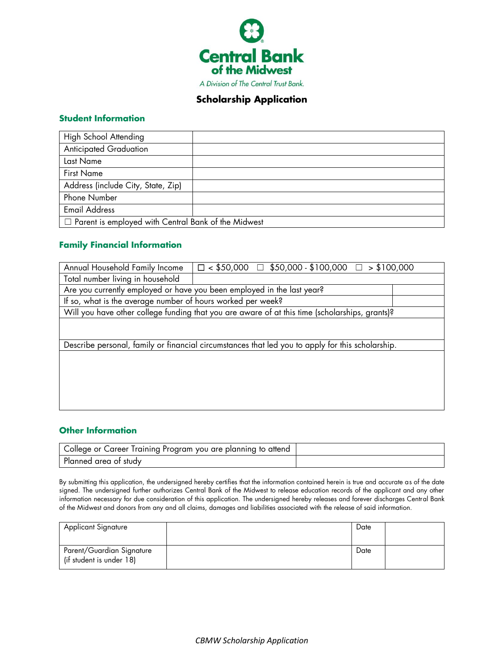

### **Scholarship Application**

#### **Student Information**

| High School Attending                                      |  |  |  |  |  |  |
|------------------------------------------------------------|--|--|--|--|--|--|
| <b>Anticipated Graduation</b>                              |  |  |  |  |  |  |
| Last Name                                                  |  |  |  |  |  |  |
| <b>First Name</b>                                          |  |  |  |  |  |  |
| Address (include City, State, Zip)                         |  |  |  |  |  |  |
| Phone Number                                               |  |  |  |  |  |  |
| <b>Email Address</b>                                       |  |  |  |  |  |  |
| $\Box$ Parent is employed with Central Bank of the Midwest |  |  |  |  |  |  |

### **Family Financial Information**

| Annual Household Family Income                              | $\square$ < \$50,000 $\square$ \$50,000 - \$100,000 $\square$ > \$100,000                        |  |  |  |  |  |  |  |  |  |
|-------------------------------------------------------------|--------------------------------------------------------------------------------------------------|--|--|--|--|--|--|--|--|--|
| Total number living in household                            |                                                                                                  |  |  |  |  |  |  |  |  |  |
|                                                             | Are you currently employed or have you been employed in the last year?                           |  |  |  |  |  |  |  |  |  |
| If so, what is the average number of hours worked per week? |                                                                                                  |  |  |  |  |  |  |  |  |  |
|                                                             | Will you have other college funding that you are aware of at this time (scholarships, grants)?   |  |  |  |  |  |  |  |  |  |
|                                                             |                                                                                                  |  |  |  |  |  |  |  |  |  |
|                                                             |                                                                                                  |  |  |  |  |  |  |  |  |  |
|                                                             | Describe personal, family or financial circumstances that led you to apply for this scholarship. |  |  |  |  |  |  |  |  |  |
|                                                             |                                                                                                  |  |  |  |  |  |  |  |  |  |
|                                                             |                                                                                                  |  |  |  |  |  |  |  |  |  |
|                                                             |                                                                                                  |  |  |  |  |  |  |  |  |  |
|                                                             |                                                                                                  |  |  |  |  |  |  |  |  |  |
|                                                             |                                                                                                  |  |  |  |  |  |  |  |  |  |
|                                                             |                                                                                                  |  |  |  |  |  |  |  |  |  |

### **Other Information**

| College or Career Training Program you are planning to attend ' |  |
|-----------------------------------------------------------------|--|
| Planned area of study                                           |  |

By submitting this application, the undersigned hereby certifies that the information contained herein is true and accurate as of the date signed. The undersigned further authorizes Central Bank of the Midwest to release education records of the applicant and any other information necessary for due consideration of this application. The undersigned hereby releases and forever discharges Central Bank of the Midwest and donors from any and all claims, damages and liabilities associated with the release of said information.

| <b>Applicant Signature</b>                            | Date |  |
|-------------------------------------------------------|------|--|
| Parent/Guardian Signature<br>(if student is under 18) | Date |  |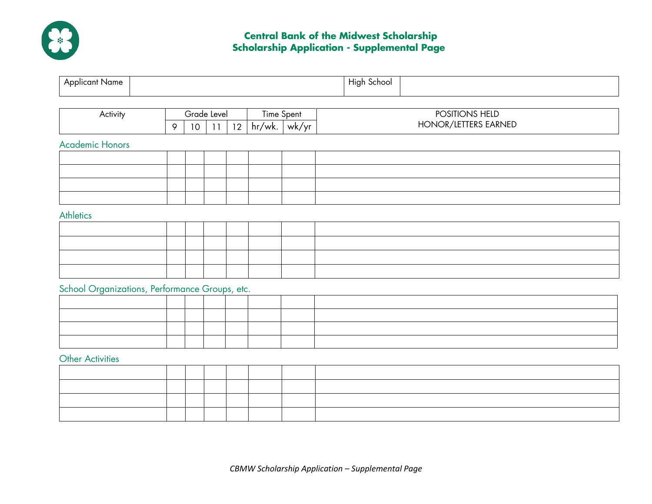

# **Central Bank of the Midwest Scholarship Scholarship Application - Supplemental Page**

| Applicant Name                                 |   |    |             |    |                |            | High School          |
|------------------------------------------------|---|----|-------------|----|----------------|------------|----------------------|
| Activity                                       |   |    | Grade Level |    |                | Time Spent | POSITIONS HELD       |
|                                                | 9 | 10 | 11          | 12 | $hr/wk.$ wk/yr |            | HONOR/LETTERS EARNED |
| <b>Academic Honors</b>                         |   |    |             |    |                |            |                      |
|                                                |   |    |             |    |                |            |                      |
|                                                |   |    |             |    |                |            |                      |
|                                                |   |    |             |    |                |            |                      |
| <b>Athletics</b>                               |   |    |             |    |                |            |                      |
|                                                |   |    |             |    |                |            |                      |
|                                                |   |    |             |    |                |            |                      |
|                                                |   |    |             |    |                |            |                      |
|                                                |   |    |             |    |                |            |                      |
| School Organizations, Performance Groups, etc. |   |    |             |    |                |            |                      |
|                                                |   |    |             |    |                |            |                      |
|                                                |   |    |             |    |                |            |                      |

### Other Activities

| _ _. |  |  |  |  |  |  |  |  |  |  |
|------|--|--|--|--|--|--|--|--|--|--|
|      |  |  |  |  |  |  |  |  |  |  |
|      |  |  |  |  |  |  |  |  |  |  |
|      |  |  |  |  |  |  |  |  |  |  |
|      |  |  |  |  |  |  |  |  |  |  |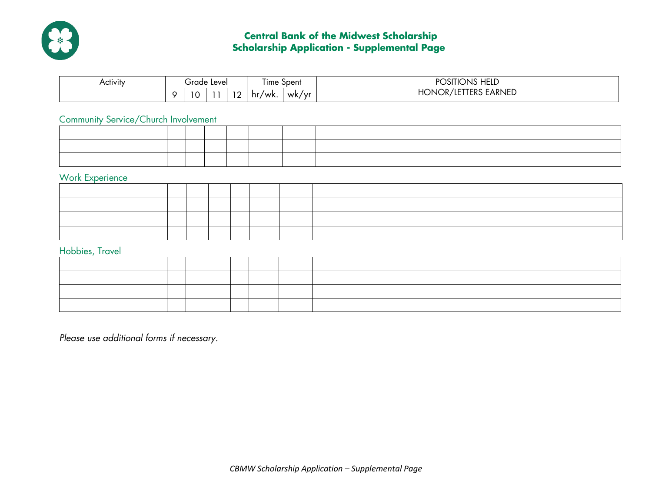

# **Central Bank of the Midwest Scholarship Scholarship Application - Supplemental Page**

| .<br>Activity |                    | Grade Level |                                                      | ∣ıme<br><b>Spent</b> |       | <b>IONS HELD</b><br><b>JSHIC</b><br>יש |
|---------------|--------------------|-------------|------------------------------------------------------|----------------------|-------|----------------------------------------|
|               | $\sim$ $\sim$<br>ັ |             | $\overline{\phantom{a}}$<br>$\overline{\phantom{0}}$ | hr,<br>'wk.          | wk/yr | <b>TERS EARNED</b><br>HONOR/<br>7 LE   |

## Community Service/Church Involvement

# Work Experience

### Hobbies, Travel

*Please use additional forms if necessary.*